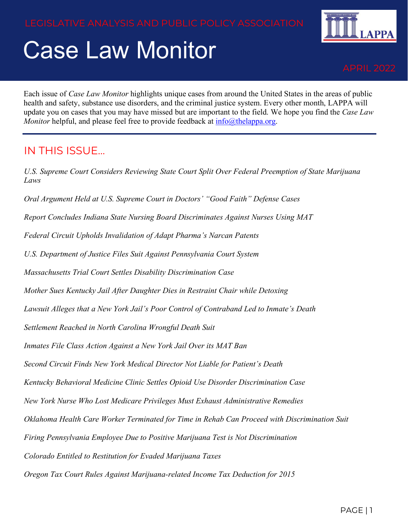# Case Law Monitor



Each issue of *Case Law Monitor* highlights unique cases from around the United States in the areas of public health and safety, substance use disorders, and the criminal justice system. Every other month, LAPPA will update you on cases that you may have missed but are important to the field. We hope you find the *Case Law Monitor* helpful, and please feel free to provide feedback at [info@thelappa.org.](mailto:info@thelappa.org)

#### IN THIS ISSUE…

*U.S. Supreme Court Considers Reviewing State Court Split Over Federal Preemption of State Marijuana Laws*

*Oral Argument Held at U.S. Supreme Court in Doctors' "Good Faith" Defense Cases*

*Report Concludes Indiana State Nursing Board Discriminates Against Nurses Using MAT*

*Federal Circuit Upholds Invalidation of Adapt Pharma's Narcan Patents*

*U.S. Department of Justice Files Suit Against Pennsylvania Court System*

*Massachusetts Trial Court Settles Disability Discrimination Case*

*Mother Sues Kentucky Jail After Daughter Dies in Restraint Chair while Detoxing* 

*Lawsuit Alleges that a New York Jail's Poor Control of Contraband Led to Inmate's Death*

*Settlement Reached in North Carolina Wrongful Death Suit*

*Inmates File Class Action Against a New York Jail Over its MAT Ban*

*Second Circuit Finds New York Medical Director Not Liable for Patient's Death*

*Kentucky Behavioral Medicine Clinic Settles Opioid Use Disorder Discrimination Case* 

*New York Nurse Who Lost Medicare Privileges Must Exhaust Administrative Remedies*

*Oklahoma Health Care Worker Terminated for Time in Rehab Can Proceed with Discrimination Suit*

*Firing Pennsylvania Employee Due to Positive Marijuana Test is Not Discrimination*

*Colorado Entitled to Restitution for Evaded Marijuana Taxes*

*Oregon Tax Court Rules Against Marijuana-related Income Tax Deduction for 2015*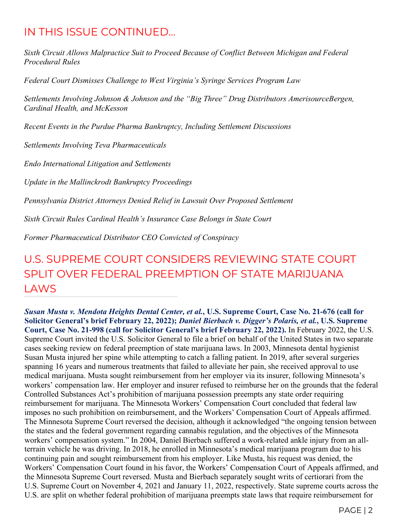#### IN THIS ISSUE CONTINUED…

*Sixth Circuit Allows Malpractice Suit to Proceed Because of Conflict Between Michigan and Federal Procedural Rules*

*Federal Court Dismisses Challenge to West Virginia's Syringe Services Program Law*

*Settlements Involving Johnson & Johnson and the "Big Three" Drug Distributors AmerisourceBergen, Cardinal Health, and McKesson*

*Recent Events in the Purdue Pharma Bankruptcy, Including Settlement Discussions*

*Settlements Involving Teva Pharmaceuticals*

*Endo International Litigation and Settlements*

*Update in the Mallinckrodt Bankruptcy Proceedings*

*Pennsylvania District Attorneys Denied Relief in Lawsuit Over Proposed Settlement*

*Sixth Circuit Rules Cardinal Health's Insurance Case Belongs in State Court*

*Former Pharmaceutical Distributor CEO Convicted of Conspiracy*

# U.S. SUPREME COURT CONSIDERS REVIEWING STATE COURT SPLIT OVER FEDERAL PREEMPTION OF STATE MARIJUANA LAWS

*Susan Musta v. Mendota Heights Dental Center, et al.***, U.S. Supreme Court, Case No. 21-676 (call for Solicitor General's brief February 22, 2022);** *Daniel Bierbach v. Digger's Polaris, et al.***, U.S. Supreme Court, Case No. 21-998 (call for Solicitor General's brief February 22, 2022).** In February 2022, the U.S. Supreme Court invited the U.S. Solicitor General to file a brief on behalf of the United States in two separate cases seeking review on federal preemption of state marijuana laws. In 2003, Minnesota dental hygienist Susan Musta injured her spine while attempting to catch a falling patient. In 2019, after several surgeries spanning 16 years and numerous treatments that failed to alleviate her pain, she received approval to use medical marijuana. Musta sought reimbursement from her employer via its insurer, following Minnesota's workers' compensation law. Her employer and insurer refused to reimburse her on the grounds that the federal Controlled Substances Act's prohibition of marijuana possession preempts any state order requiring reimbursement for marijuana. The Minnesota Workers' Compensation Court concluded that federal law imposes no such prohibition on reimbursement, and the Workers' Compensation Court of Appeals affirmed. The Minnesota Supreme Court reversed the decision, although it acknowledged "the ongoing tension between the states and the federal government regarding cannabis regulation, and the objectives of the Minnesota workers' compensation system." In 2004, Daniel Bierbach suffered a work-related ankle injury from an allterrain vehicle he was driving. In 2018, he enrolled in Minnesota's medical marijuana program due to his continuing pain and sought reimbursement from his employer. Like Musta, his request was denied, the Workers' Compensation Court found in his favor, the Workers' Compensation Court of Appeals affirmed, and the Minnesota Supreme Court reversed. Musta and Bierbach separately sought writs of certiorari from the U.S. Supreme Court on November 4, 2021 and January 11, 2022, respectively. State supreme courts across the U.S. are split on whether federal prohibition of marijuana preempts state laws that require reimbursement for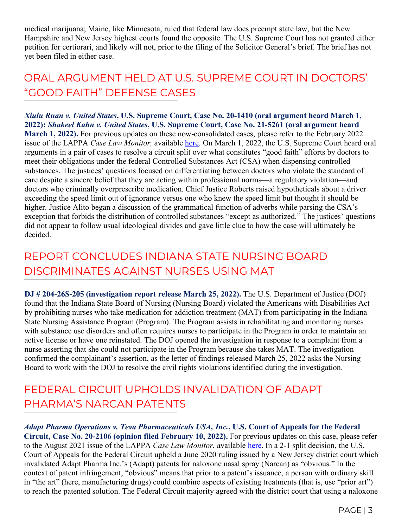medical marijuana; Maine, like Minnesota, ruled that federal law does preempt state law, but the New Hampshire and New Jersey highest courts found the opposite. The U.S. Supreme Court has not granted either petition for certiorari, and likely will not, prior to the filing of the Solicitor General's brief. The brief has not yet been filed in either case.

## ORAL ARGUMENT HELD AT U.S. SUPREME COURT IN DOCTORS' "GOOD FAITH" DEFENSE CASES

*Xiulu Ruan v. United States***, U.S. Supreme Court, Case No. 20-1410 (oral argument heard March 1, 2022);** *Shakeel Kahn v. United States***, U.S. Supreme Court, Case No. 21-5261 (oral argument heard March 1, 2022).** For previous updates on these now-consolidated cases, please refer to the February 2022 issue of the LAPPA *Case Law Monitor,* available [here.](http://legislativeanalysis.org/wp-content/uploads/2022/02/February-2022-CLM-FINAL.pdf) On March 1, 2022, the U.S. Supreme Court heard oral arguments in a pair of cases to resolve a circuit split over what constitutes "good faith" efforts by doctors to meet their obligations under the federal Controlled Substances Act (CSA) when dispensing controlled substances. The justices' questions focused on differentiating between doctors who violate the standard of care despite a sincere belief that they are acting within professional norms—a regulatory violation—and doctors who criminally overprescribe medication. Chief Justice Roberts raised hypotheticals about a driver exceeding the speed limit out of ignorance versus one who knew the speed limit but thought it should be higher. Justice Alito began a discussion of the grammatical function of adverbs while parsing the CSA's exception that forbids the distribution of controlled substances "except as authorized." The justices' questions did not appear to follow usual ideological divides and gave little clue to how the case will ultimately be decided.

#### REPORT CONCLUDES INDIANA STATE NURSING BOARD DISCRIMINATES AGAINST NURSES USING MAT

**DJ # 204-26S-205 (investigation report release March 25, 2022).** The U.S. Department of Justice (DOJ) found that the Indiana State Board of Nursing (Nursing Board) violated the Americans with Disabilities Act by prohibiting nurses who take medication for addiction treatment (MAT) from participating in the Indiana State Nursing Assistance Program (Program). The Program assists in rehabilitating and monitoring nurses with substance use disorders and often requires nurses to participate in the Program in order to maintain an active license or have one reinstated. The DOJ opened the investigation in response to a complaint from a nurse asserting that she could not participate in the Program because she takes MAT. The investigation confirmed the complainant's assertion, as the letter of findings released March 25, 2022 asks the Nursing Board to work with the DOJ to resolve the civil rights violations identified during the investigation.

#### FEDERAL CIRCUIT UPHOLDS INVALIDATION OF ADAPT PHARMA'S NARCAN PATENTS

*Adapt Pharma Operations v. Teva Pharmaceuticals USA, Inc.***, U.S. Court of Appeals for the Federal Circuit, Case No. 20-2106 (opinion filed February 10, 2022).** For previous updates on this case, please refer to the August 2021 issue of the LAPPA *Case Law Monitor*, available [here.](http://legislativeanalysis.org/wp-content/uploads/2021/08/August-2021-Case-Law-Monitor-FINAL.pdf) In a 2-1 split decision, the U.S. Court of Appeals for the Federal Circuit upheld a June 2020 ruling issued by a New Jersey district court which invalidated Adapt Pharma Inc.'s (Adapt) patents for naloxone nasal spray (Narcan) as "obvious." In the context of patent infringement, "obvious" means that prior to a patent's issuance, a person with ordinary skill in "the art" (here, manufacturing drugs) could combine aspects of existing treatments (that is, use "prior art") to reach the patented solution. The Federal Circuit majority agreed with the district court that using a naloxone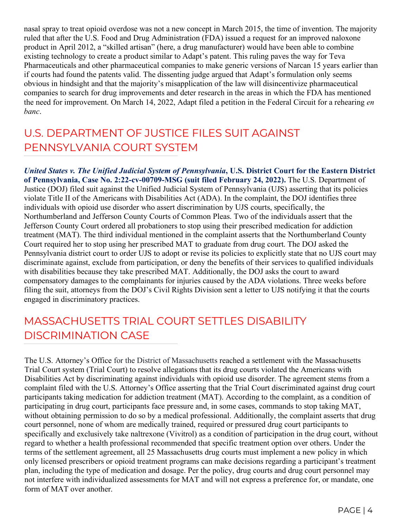nasal spray to treat opioid overdose was not a new concept in March 2015, the time of invention. The majority ruled that after the U.S. Food and Drug Administration (FDA) issued a request for an improved naloxone product in April 2012, a "skilled artisan" (here, a drug manufacturer) would have been able to combine existing technology to create a product similar to Adapt's patent. This ruling paves the way for Teva Pharmaceuticals and other pharmaceutical companies to make generic versions of Narcan 15 years earlier than if courts had found the patents valid. The dissenting judge argued that Adapt's formulation only seems obvious in hindsight and that the majority's misapplication of the law will disincentivize pharmaceutical companies to search for drug improvements and deter research in the areas in which the FDA has mentioned the need for improvement. On March 14, 2022, Adapt filed a petition in the Federal Circuit for a rehearing *en banc*.

#### U.S. DEPARTMENT OF JUSTICE FILES SUIT AGAINST PENNSYLVANIA COURT SYSTEM

*United States v. The Unified Judicial System of Pennsylvania***, U.S. District Court for the Eastern District of Pennsylvania, Case No. 2:22-cv-00709-MSG (suit filed February 24, 2022).** The U.S. Department of Justice (DOJ) filed suit against the Unified Judicial System of Pennsylvania (UJS) asserting that its policies violate Title II of the Americans with Disabilities Act (ADA). In the complaint, the DOJ identifies three individuals with opioid use disorder who assert discrimination by UJS courts, specifically, the Northumberland and Jefferson County Courts of Common Pleas. Two of the individuals assert that the Jefferson County Court ordered all probationers to stop using their prescribed medication for addiction treatment (MAT). The third individual mentioned in the complaint asserts that the Northumberland County Court required her to stop using her prescribed MAT to graduate from drug court. The DOJ asked the Pennsylvania district court to order UJS to adopt or revise its policies to explicitly state that no UJS court may discriminate against, exclude from participation, or deny the benefits of their services to qualified individuals with disabilities because they take prescribed MAT. Additionally, the DOJ asks the court to award compensatory damages to the complainants for injuries caused by the ADA violations. Three weeks before filing the suit, attorneys from the DOJ's Civil Rights Division sent a letter to UJS notifying it that the courts engaged in discriminatory practices.

## MASSACHUSETTS TRIAL COURT SETTLES DISABILITY DISCRIMINATION CASE

The U.S. Attorney's Office for the District of Massachusetts reached a settlement with the Massachusetts Trial Court system (Trial Court) to resolve allegations that its drug courts violated the Americans with Disabilities Act by discriminating against individuals with opioid use disorder. The agreement stems from a complaint filed with the U.S. Attorney's Office asserting that the Trial Court discriminated against drug court participants taking medication for addiction treatment (MAT). According to the complaint, as a condition of participating in drug court, participants face pressure and, in some cases, commands to stop taking MAT, without obtaining permission to do so by a medical professional. Additionally, the complaint asserts that drug court personnel, none of whom are medically trained, required or pressured drug court participants to specifically and exclusively take naltrexone (Vivitrol) as a condition of participation in the drug court, without regard to whether a health professional recommended that specific treatment option over others. Under the terms of the settlement agreement, all 25 Massachusetts drug courts must implement a new policy in which only licensed prescribers or opioid treatment programs can make decisions regarding a participant's treatment plan, including the type of medication and dosage. Per the policy, drug courts and drug court personnel may not interfere with individualized assessments for MAT and will not express a preference for, or mandate, one form of MAT over another.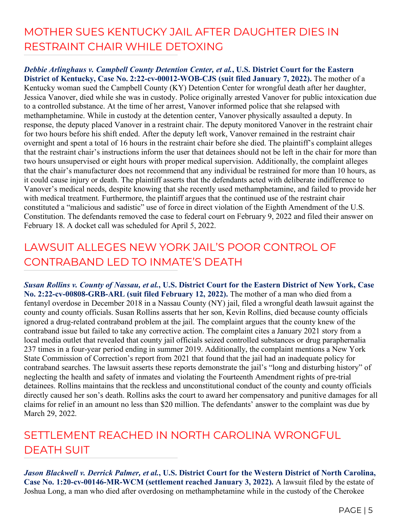## MOTHER SUES KENTUCKY JAIL AFTER DAUGHTER DIES IN RESTRAINT CHAIR WHILE DETOXING

#### *Debbie Arlinghaus v. Campbell County Detention Center, et al.***, U.S. District Court for the Eastern District of Kentucky, Case No. 2:22-cv-00012-WOB-CJS (suit filed January 7, 2022).** The mother of a Kentucky woman sued the Campbell County (KY) Detention Center for wrongful death after her daughter, Jessica Vanover, died while she was in custody. Police originally arrested Vanover for public intoxication due to a controlled substance. At the time of her arrest, Vanover informed police that she relapsed with methamphetamine. While in custody at the detention center, Vanover physically assaulted a deputy. In response, the deputy placed Vanover in a restraint chair. The deputy monitored Vanover in the restraint chair for two hours before his shift ended. After the deputy left work, Vanover remained in the restraint chair overnight and spent a total of 16 hours in the restraint chair before she died. The plaintiff's complaint alleges that the restraint chair's instructions inform the user that detainees should not be left in the chair for more than two hours unsupervised or eight hours with proper medical supervision. Additionally, the complaint alleges that the chair's manufacturer does not recommend that any individual be restrained for more than 10 hours, as it could cause injury or death. The plaintiff asserts that the defendants acted with deliberate indifference to Vanover's medical needs, despite knowing that she recently used methamphetamine, and failed to provide her with medical treatment. Furthermore, the plaintiff argues that the continued use of the restraint chair constituted a "malicious and sadistic" use of force in direct violation of the Eighth Amendment of the U.S. Constitution. The defendants removed the case to federal court on February 9, 2022 and filed their answer on February 18. A docket call was scheduled for April 5, 2022.

## LAWSUIT ALLEGES NEW YORK JAIL'S POOR CONTROL OF CONTRABAND LED TO INMATE'S DEATH

*Susan Rollins v. County of Nassau, et al.***, U.S. District Court for the Eastern District of New York, Case No. 2:22-cv-00808-GRB-ARL (suit filed February 12, 2022).** The mother of a man who died from a fentanyl overdose in December 2018 in a Nassau County (NY) jail, filed a wrongful death lawsuit against the county and county officials. Susan Rollins asserts that her son, Kevin Rollins, died because county officials ignored a drug-related contraband problem at the jail. The complaint argues that the county knew of the contraband issue but failed to take any corrective action. The complaint cites a January 2021 story from a local media outlet that revealed that county jail officials seized controlled substances or drug paraphernalia 237 times in a four-year period ending in summer 2019. Additionally, the complaint mentions a New York State Commission of Correction's report from 2021 that found that the jail had an inadequate policy for contraband searches. The lawsuit asserts these reports demonstrate the jail's "long and disturbing history" of neglecting the health and safety of inmates and violating the Fourteenth Amendment rights of pre-trial detainees. Rollins maintains that the reckless and unconstitutional conduct of the county and county officials directly caused her son's death. Rollins asks the court to award her compensatory and punitive damages for all claims for relief in an amount no less than \$20 million. The defendants' answer to the complaint was due by March 29, 2022.

# SETTLEMENT REACHED IN NORTH CAROLINA WRONGFUL DEATH SUIT

*Jason Blackwell v. Derrick Palmer, et al.***, U.S. District Court for the Western District of North Carolina, Case No. 1:20-cv-00146-MR-WCM (settlement reached January 3, 2022).** A lawsuit filed by the estate of Joshua Long, a man who died after overdosing on methamphetamine while in the custody of the Cherokee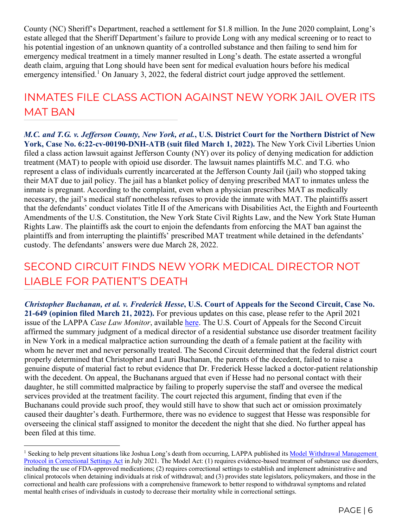County (NC) Sheriff's Department, reached a settlement for \$1.8 million. In the June 2020 complaint, Long's estate alleged that the Sheriff Department's failure to provide Long with any medical screening or to react to his potential ingestion of an unknown quantity of a controlled substance and then failing to send him for emergency medical treatment in a timely manner resulted in Long's death. The estate asserted a wrongful death claim, arguing that Long should have been sent for medical evaluation hours before his medical emergency intensified.<sup>[1](#page-5-0)</sup> On January 3, 2022, the federal district court judge approved the settlement.

#### INMATES FILE CLASS ACTION AGAINST NEW YORK JAIL OVER ITS MAT BAN

*M.C. and T.G. v. Jefferson County, New York, et al.***, U.S. District Court for the Northern District of New York, Case No. 6:22-cv-00190-DNH-ATB (suit filed March 1, 2022).** The New York Civil Liberties Union filed a class action lawsuit against Jefferson County (NY) over its policy of denying medication for addiction treatment (MAT) to people with opioid use disorder. The lawsuit names plaintiffs M.C. and T.G. who represent a class of individuals currently incarcerated at the Jefferson County Jail (jail) who stopped taking their MAT due to jail policy. The jail has a blanket policy of denying prescribed MAT to inmates unless the inmate is pregnant. According to the complaint, even when a physician prescribes MAT as medically necessary, the jail's medical staff nonetheless refuses to provide the inmate with MAT. The plaintiffs assert that the defendants' conduct violates Title II of the Americans with Disabilities Act, the Eighth and Fourteenth Amendments of the U.S. Constitution, the New York State Civil Rights Law, and the New York State Human Rights Law. The plaintiffs ask the court to enjoin the defendants from enforcing the MAT ban against the plaintiffs and from interrupting the plaintiffs' prescribed MAT treatment while detained in the defendants' custody. The defendants' answers were due March 28, 2022.

## SECOND CIRCUIT FINDS NEW YORK MEDICAL DIRECTOR NOT LIABLE FOR PATIENT'S DEATH

*Christopher Buchanan, et al. v. Frederick Hesse***, U.S. Court of Appeals for the Second Circuit, Case No. 21-649 (opinion filed March 21, 2022).** For previous updates on this case, please refer to the April 2021 issue of the LAPPA *Case Law Monitor*, available [here.](http://legislativeanalysis.org/wp-content/uploads/2021/04/April-2021-Case-Law-Monitor-FINAL.pdf) The U.S. Court of Appeals for the Second Circuit affirmed the summary judgment of a medical director of a residential substance use disorder treatment facility in New York in a medical malpractice action surrounding the death of a female patient at the facility with whom he never met and never personally treated. The Second Circuit determined that the federal district court properly determined that Christopher and Lauri Buchanan, the parents of the decedent, failed to raise a genuine dispute of material fact to rebut evidence that Dr. Frederick Hesse lacked a doctor-patient relationship with the decedent. On appeal, the Buchanans argued that even if Hesse had no personal contact with their daughter, he still committed malpractice by failing to properly supervise the staff and oversee the medical services provided at the treatment facility. The court rejected this argument, finding that even if the Buchanans could provide such proof, they would still have to show that such act or omission proximately caused their daughter's death. Furthermore, there was no evidence to suggest that Hesse was responsible for overseeing the clinical staff assigned to monitor the decedent the night that she died. No further appeal has been filed at this time.

<span id="page-5-0"></span><sup>&</sup>lt;sup>1</sup> Seeking to help prevent situations like Joshua Long's death from occurring, LAPPA published its Model Withdrawal Management [Protocol in Correctional Settings Act](https://legislativeanalysis.org/model-withdrawal-management-protocol-in-correctional-settings-act/) in July 2021. The Model Act: (1) requires evidence-based treatment of substance use disorders, including the use of FDA-approved medications; (2) requires correctional settings to establish and implement administrative and clinical protocols when detaining individuals at risk of withdrawal; and (3) provides state legislators, policymakers, and those in the correctional and health care professions with a comprehensive framework to better respond to withdrawal symptoms and related mental health crises of individuals in custody to decrease their mortality while in correctional settings.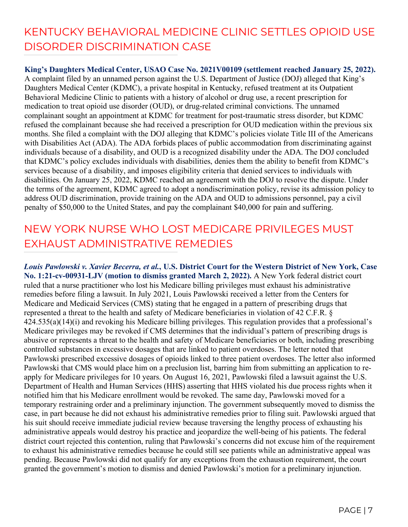## KENTUCKY BEHAVIORAL MEDICINE CLINIC SETTLES OPIOID USE DISORDER DISCRIMINATION CASE

**King's Daughters Medical Center, USAO Case No. 2021V00109 (settlement reached January 25, 2022).**  A complaint filed by an unnamed person against the U.S. Department of Justice (DOJ) alleged that King's Daughters Medical Center (KDMC), a private hospital in Kentucky, refused treatment at its Outpatient Behavioral Medicine Clinic to patients with a history of alcohol or drug use, a recent prescription for medication to treat opioid use disorder (OUD), or drug-related criminal convictions. The unnamed complainant sought an appointment at KDMC for treatment for post-traumatic stress disorder, but KDMC refused the complainant because she had received a prescription for OUD medication within the previous six months. She filed a complaint with the DOJ alleging that KDMC's policies violate Title III of the Americans with Disabilities Act (ADA). The ADA forbids places of public accommodation from discriminating against individuals because of a disability, and OUD is a recognized disability under the ADA. The DOJ concluded that KDMC's policy excludes individuals with disabilities, denies them the ability to benefit from KDMC's services because of a disability, and imposes eligibility criteria that denied services to individuals with disabilities. On January 25, 2022, KDMC reached an agreement with the DOJ to resolve the dispute. Under the terms of the agreement, KDMC agreed to adopt a nondiscrimination policy, revise its admission policy to address OUD discrimination, provide training on the ADA and OUD to admissions personnel, pay a civil penalty of \$50,000 to the United States, and pay the complainant \$40,000 for pain and suffering.

#### NEW YORK NURSE WHO LOST MEDICARE PRIVILEGES MUST EXHAUST ADMINISTRATIVE REMEDIES

*Louis Pawlowski v. Xavier Becerra, et al.***, U.S. District Court for the Western District of New York, Case No. 1:21-cv-00931-LJV (motion to dismiss granted March 2, 2022).** A New York federal district court ruled that a nurse practitioner who lost his Medicare billing privileges must exhaust his administrative remedies before filing a lawsuit. In July 2021, Louis Pawlowski received a letter from the Centers for Medicare and Medicaid Services (CMS) stating that he engaged in a pattern of prescribing drugs that represented a threat to the health and safety of Medicare beneficiaries in violation of 42 C.F.R. § 424.535(a)(14)(i) and revoking his Medicare billing privileges. This regulation provides that a professional's Medicare privileges may be revoked if CMS determines that the individual's pattern of prescribing drugs is abusive or represents a threat to the health and safety of Medicare beneficiaries or both, including prescribing controlled substances in excessive dosages that are linked to patient overdoses. The letter noted that Pawlowski prescribed excessive dosages of opioids linked to three patient overdoses. The letter also informed Pawlowski that CMS would place him on a preclusion list, barring him from submitting an application to reapply for Medicare privileges for 10 years. On August 16, 2021, Pawlowski filed a lawsuit against the U.S. Department of Health and Human Services (HHS) asserting that HHS violated his due process rights when it notified him that his Medicare enrollment would be revoked. The same day, Pawlowski moved for a temporary restraining order and a preliminary injunction. The government subsequently moved to dismiss the case, in part because he did not exhaust his administrative remedies prior to filing suit. Pawlowski argued that his suit should receive immediate judicial review because traversing the lengthy process of exhausting his administrative appeals would destroy his practice and jeopardize the well-being of his patients. The federal district court rejected this contention, ruling that Pawlowski's concerns did not excuse him of the requirement to exhaust his administrative remedies because he could still see patients while an administrative appeal was pending. Because Pawlowski did not qualify for any exceptions from the exhaustion requirement, the court granted the government's motion to dismiss and denied Pawlowski's motion for a preliminary injunction.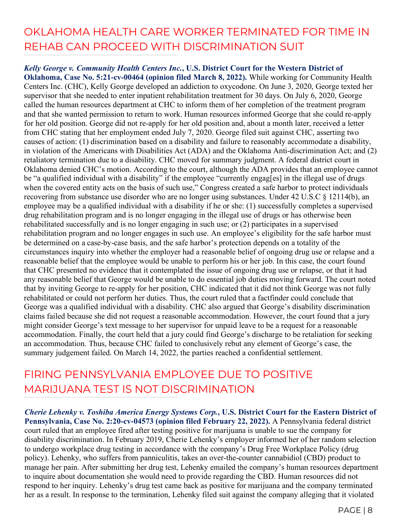## OKLAHOMA HEALTH CARE WORKER TERMINATED FOR TIME IN REHAB CAN PROCEED WITH DISCRIMINATION SUIT

#### *Kelly George v. Community Health Centers Inc.***, U.S. District Court for the Western District of**

**Oklahoma, Case No. 5:21-cv-00464 (opinion filed March 8, 2022).** While working for Community Health Centers Inc. (CHC), Kelly George developed an addiction to oxycodone. On June 3, 2020, George texted her supervisor that she needed to enter inpatient rehabilitation treatment for 30 days. On July 6, 2020, George called the human resources department at CHC to inform them of her completion of the treatment program and that she wanted permission to return to work. Human resources informed George that she could re-apply for her old position. George did not re-apply for her old position and, about a month later, received a letter from CHC stating that her employment ended July 7, 2020. George filed suit against CHC, asserting two causes of action: (1) discrimination based on a disability and failure to reasonably accommodate a disability, in violation of the Americans with Disabilities Act (ADA) and the Oklahoma Anti-discrimination Act; and (2) retaliatory termination due to a disability. CHC moved for summary judgment. A federal district court in Oklahoma denied CHC's motion. According to the court, although the ADA provides that an employee cannot be "a qualified individual with a disability" if the employee "currently engag[es] in the illegal use of drugs when the covered entity acts on the basis of such use," Congress created a safe harbor to protect individuals recovering from substance use disorder who are no longer using substances. Under 42 U.S.C § 12114(b), an employee may be a qualified individual with a disability if he or she: (1) successfully completes a supervised drug rehabilitation program and is no longer engaging in the illegal use of drugs or has otherwise been rehabilitated successfully and is no longer engaging in such use; or (2) participates in a supervised rehabilitation program and no longer engages in such use. An employee's eligibility for the safe harbor must be determined on a case-by-case basis, and the safe harbor's protection depends on a totality of the circumstances inquiry into whether the employer had a reasonable belief of ongoing drug use or relapse and a reasonable belief that the employee would be unable to perform his or her job. In this case, the court found that CHC presented no evidence that it contemplated the issue of ongoing drug use or relapse, or that it had any reasonable belief that George would be unable to do essential job duties moving forward. The court noted that by inviting George to re-apply for her position, CHC indicated that it did not think George was not fully rehabilitated or could not perform her duties. Thus, the court ruled that a factfinder could conclude that George was a qualified individual with a disability. CHC also argued that George's disability discrimination claims failed because she did not request a reasonable accommodation. However, the court found that a jury might consider George's text message to her supervisor for unpaid leave to be a request for a reasonable accommodation. Finally, the court held that a jury could find George's discharge to be retaliation for seeking an accommodation. Thus, because CHC failed to conclusively rebut any element of George's case, the summary judgement failed. On March 14, 2022, the parties reached a confidential settlement.

#### FIRING PENNSYLVANIA EMPLOYEE DUE TO POSITIVE MARIJUANA TEST IS NOT DISCRIMINATION

*Cherie Lehenky v. Toshiba America Energy Systems Corp.***, U.S. District Court for the Eastern District of Pennsylvania, Case No. 2:20-cv-04573 (opinion filed February 22, 2022).** A Pennsylvania federal district court ruled that an employee fired after testing positive for marijuana is unable to sue the company for disability discrimination. In February 2019, Cherie Lehenky's employer informed her of her random selection to undergo workplace drug testing in accordance with the company's Drug Free Workplace Policy (drug policy). Lehenky, who suffers from panniculitis, takes an over-the-counter cannabidiol (CBD) product to manage her pain. After submitting her drug test, Lehenky emailed the company's human resources department to inquire about documentation she would need to provide regarding the CBD. Human resources did not respond to her inquiry. Lehenky's drug test came back as positive for marijuana and the company terminated her as a result. In response to the termination, Lehenky filed suit against the company alleging that it violated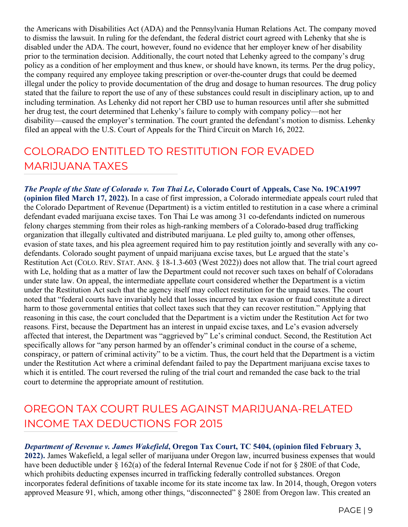the Americans with Disabilities Act (ADA) and the Pennsylvania Human Relations Act. The company moved to dismiss the lawsuit. In ruling for the defendant, the federal district court agreed with Lehenky that she is disabled under the ADA. The court, however, found no evidence that her employer knew of her disability prior to the termination decision. Additionally, the court noted that Lehenky agreed to the company's drug policy as a condition of her employment and thus knew, or should have known, its terms. Per the drug policy, the company required any employee taking prescription or over-the-counter drugs that could be deemed illegal under the policy to provide documentation of the drug and dosage to human resources. The drug policy stated that the failure to report the use of any of these substances could result in disciplinary action, up to and including termination. As Lehenky did not report her CBD use to human resources until after she submitted her drug test, the court determined that Lehenky's failure to comply with company policy—not her disability—caused the employer's termination. The court granted the defendant's motion to dismiss. Lehenky filed an appeal with the U.S. Court of Appeals for the Third Circuit on March 16, 2022.

#### COLORADO ENTITLED TO RESTITUTION FOR EVADED MARIJUANA TAXES

*The People of the State of Colorado v. Ton Thai Le***, Colorado Court of Appeals, Case No. 19CA1997 (opinion filed March 17, 2022).** In a case of first impression, a Colorado intermediate appeals court ruled that the Colorado Department of Revenue (Department) is a victim entitled to restitution in a case where a criminal defendant evaded marijuana excise taxes. Ton Thai Le was among 31 co-defendants indicted on numerous felony charges stemming from their roles as high-ranking members of a Colorado-based drug trafficking organization that illegally cultivated and distributed marijuana. Le pled guilty to, among other offenses, evasion of state taxes, and his plea agreement required him to pay restitution jointly and severally with any codefendants. Colorado sought payment of unpaid marijuana excise taxes, but Le argued that the state's Restitution Act (COLO. REV. STAT. ANN. § 18-1.3-603 (West 2022)) does not allow that. The trial court agreed with Le, holding that as a matter of law the Department could not recover such taxes on behalf of Coloradans under state law. On appeal, the intermediate appellate court considered whether the Department is a victim under the Restitution Act such that the agency itself may collect restitution for the unpaid taxes. The court noted that "federal courts have invariably held that losses incurred by tax evasion or fraud constitute a direct harm to those governmental entities that collect taxes such that they can recover restitution." Applying that reasoning in this case, the court concluded that the Department is a victim under the Restitution Act for two reasons. First, because the Department has an interest in unpaid excise taxes, and Le's evasion adversely affected that interest, the Department was "aggrieved by" Le's criminal conduct. Second, the Restitution Act specifically allows for "any person harmed by an offender's criminal conduct in the course of a scheme, conspiracy, or pattern of criminal activity" to be a victim. Thus, the court held that the Department is a victim under the Restitution Act where a criminal defendant failed to pay the Department marijuana excise taxes to which it is entitled. The court reversed the ruling of the trial court and remanded the case back to the trial court to determine the appropriate amount of restitution.

#### OREGON TAX COURT RULES AGAINST MARIJUANA-RELATED INCOME TAX DEDUCTIONS FOR 2015

#### *Department of Revenue v. James Wakefield***, Oregon Tax Court, TC 5404, (opinion filed February 3,**

**2022).** James Wakefield, a legal seller of marijuana under Oregon law, incurred business expenses that would have been deductible under § 162(a) of the federal Internal Revenue Code if not for § 280E of that Code, which prohibits deducting expenses incurred in trafficking federally controlled substances. Oregon incorporates federal definitions of taxable income for its state income tax law. In 2014, though, Oregon voters approved Measure 91, which, among other things, "disconnected" § 280E from Oregon law. This created an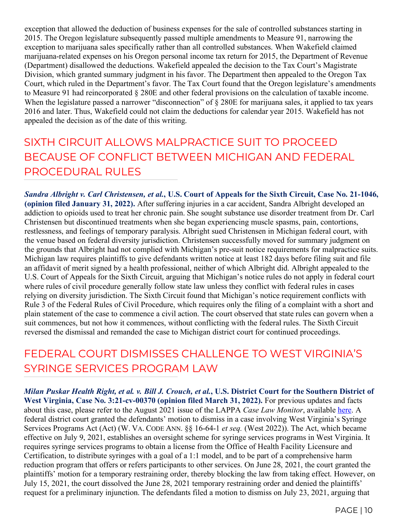exception that allowed the deduction of business expenses for the sale of controlled substances starting in 2015. The Oregon legislature subsequently passed multiple amendments to Measure 91, narrowing the exception to marijuana sales specifically rather than all controlled substances. When Wakefield claimed marijuana-related expenses on his Oregon personal income tax return for 2015, the Department of Revenue (Department) disallowed the deductions. Wakefield appealed the decision to the Tax Court's Magistrate Division, which granted summary judgment in his favor. The Department then appealed to the Oregon Tax Court, which ruled in the Department's favor. The Tax Court found that the Oregon legislature's amendments to Measure 91 had reincorporated § 280E and other federal provisions on the calculation of taxable income. When the legislature passed a narrower "disconnection" of § 280E for marijuana sales, it applied to tax years 2016 and later. Thus, Wakefield could not claim the deductions for calendar year 2015. Wakefield has not appealed the decision as of the date of this writing.

#### SIXTH CIRCUIT ALLOWS MALPRACTICE SUIT TO PROCEED BECAUSE OF CONFLICT BETWEEN MICHIGAN AND FEDERAL PROCEDURAL RULES

*Sandra Albright v. Carl Christensen, et al.***, U.S. Court of Appeals for the Sixth Circuit, Case No. 21-1046, (opinion filed January 31, 2022).** After suffering injuries in a car accident, Sandra Albright developed an addiction to opioids used to treat her chronic pain. She sought substance use disorder treatment from Dr. Carl Christensen but discontinued treatments when she began experiencing muscle spasms, pain, contortions, restlessness, and feelings of temporary paralysis. Albright sued Christensen in Michigan federal court, with the venue based on federal diversity jurisdiction. Christensen successfully moved for summary judgment on the grounds that Albright had not complied with Michigan's pre-suit notice requirements for malpractice suits. Michigan law requires plaintiffs to give defendants written notice at least 182 days before filing suit and file an affidavit of merit signed by a health professional, neither of which Albright did. Albright appealed to the U.S. Court of Appeals for the Sixth Circuit, arguing that Michigan's notice rules do not apply in federal court where rules of civil procedure generally follow state law unless they conflict with federal rules in cases relying on diversity jurisdiction. The Sixth Circuit found that Michigan's notice requirement conflicts with Rule 3 of the Federal Rules of Civil Procedure, which requires only the filing of a complaint with a short and plain statement of the case to commence a civil action. The court observed that state rules can govern when a suit commences, but not how it commences, without conflicting with the federal rules. The Sixth Circuit reversed the dismissal and remanded the case to Michigan district court for continued proceedings.

#### FEDERAL COURT DISMISSES CHALLENGE TO WEST VIRGINIA'S SYRINGE SERVICES PROGRAM LAW

*Milan Puskar Health Right, et al. v. Bill J. Crouch, et al.***, U.S. District Court for the Southern District of West Virginia, Case No. 3:21-cv-00370 (opinion filed March 31, 2022).** For previous updates and facts about this case, please refer to the August 2021 issue of the LAPPA *Case Law Monitor*, available [here.](http://legislativeanalysis.org/wp-content/uploads/2021/08/August-2021-Case-Law-Monitor-FINAL.pdf) A federal district court granted the defendants' motion to dismiss in a case involving West Virginia's Syringe Services Programs Act (Act) (W. VA. CODE ANN. §§ 16-64-1 *et seq.* (West 2022)). The Act, which became effective on July 9, 2021, establishes an oversight scheme for syringe services programs in West Virginia. It requires syringe services programs to obtain a license from the Office of Health Facility Licensure and Certification, to distribute syringes with a goal of a 1:1 model, and to be part of a comprehensive harm reduction program that offers or refers participants to other services. On June 28, 2021, the court granted the plaintiffs' motion for a temporary restraining order, thereby blocking the law from taking effect. However, on July 15, 2021, the court dissolved the June 28, 2021 temporary restraining order and denied the plaintiffs' request for a preliminary injunction. The defendants filed a motion to dismiss on July 23, 2021, arguing that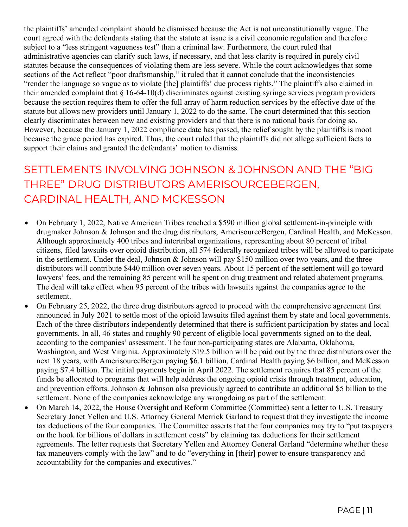the plaintiffs' amended complaint should be dismissed because the Act is not unconstitutionally vague. The court agreed with the defendants stating that the statute at issue is a civil economic regulation and therefore subject to a "less stringent vagueness test" than a criminal law. Furthermore, the court ruled that administrative agencies can clarify such laws, if necessary, and that less clarity is required in purely civil statutes because the consequences of violating them are less severe. While the court acknowledges that some sections of the Act reflect "poor draftsmanship," it ruled that it cannot conclude that the inconsistencies "render the language so vague as to violate [the] plaintiffs' due process rights." The plaintiffs also claimed in their amended complaint that  $\S$  16-64-10(d) discriminates against existing syringe services program providers because the section requires them to offer the full array of harm reduction services by the effective date of the statute but allows new providers until January 1, 2022 to do the same. The court determined that this section clearly discriminates between new and existing providers and that there is no rational basis for doing so. However, because the January 1, 2022 compliance date has passed, the relief sought by the plaintiffs is moot because the grace period has expired. Thus, the court ruled that the plaintiffs did not allege sufficient facts to support their claims and granted the defendants' motion to dismiss.

## SETTLEMENTS INVOLVING JOHNSON & JOHNSON AND THE "BIG THREE" DRUG DISTRIBUTORS AMERISOURCEBERGEN, CARDINAL HEALTH, AND MCKESSON

- On February 1, 2022, Native American Tribes reached a \$590 million global settlement-in-principle with drugmaker Johnson & Johnson and the drug distributors, AmerisourceBergen, Cardinal Health, and McKesson. Although approximately 400 tribes and intertribal organizations, representing about 80 percent of tribal citizens, filed lawsuits over opioid distribution, all 574 federally recognized tribes will be allowed to participate in the settlement. Under the deal, Johnson  $\&$  Johnson will pay \$150 million over two years, and the three distributors will contribute \$440 million over seven years. About 15 percent of the settlement will go toward lawyers' fees, and the remaining 85 percent will be spent on drug treatment and related abatement programs. The deal will take effect when 95 percent of the tribes with lawsuits against the companies agree to the settlement.
- On February 25, 2022, the three drug distributors agreed to proceed with the comprehensive agreement first announced in July 2021 to settle most of the opioid lawsuits filed against them by state and local governments. Each of the three distributors independently determined that there is sufficient participation by states and local governments. In all, 46 states and roughly 90 percent of eligible local governments signed on to the deal, according to the companies' assessment. The four non-participating states are Alabama, Oklahoma, Washington, and West Virginia. Approximately \$19.5 billion will be paid out by the three distributors over the next 18 years, with AmerisourceBergen paying \$6.1 billion, Cardinal Health paying \$6 billion, and McKesson paying \$7.4 billion. The initial payments begin in April 2022. The settlement requires that 85 percent of the funds be allocated to programs that will help address the ongoing opioid crisis through treatment, education, and prevention efforts. Johnson & Johnson also previously agreed to contribute an additional \$5 billion to the settlement. None of the companies acknowledge any wrongdoing as part of the settlement.
- On March 14, 2022, the House Oversight and Reform Committee (Committee) sent a letter to U.S. Treasury Secretary Janet Yellen and U.S. Attorney General Merrick Garland to request that they investigate the income tax deductions of the four companies. The Committee asserts that the four companies may try to "put taxpayers on the hook for billions of dollars in settlement costs" by claiming tax deductions for their settlement agreements. The letter requests that Secretary Yellen and Attorney General Garland "determine whether these tax maneuvers comply with the law" and to do "everything in [their] power to ensure transparency and accountability for the companies and executives."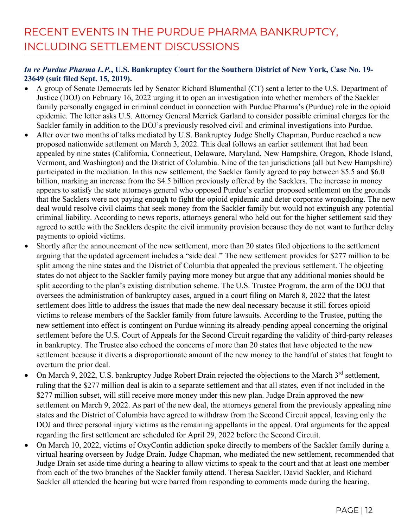# RECENT EVENTS IN THE PURDUE PHARMA BANKRUPTCY, INCLUDING SETTLEMENT DISCUSSIONS

#### *In re Purdue Pharma L.P.***, U.S. Bankruptcy Court for the Southern District of New York, Case No. 19- 23649 (suit filed Sept. 15, 2019).**

- A group of Senate Democrats led by Senator Richard Blumenthal (CT) sent a letter to the U.S. Department of Justice (DOJ) on February 16, 2022 urging it to open an investigation into whether members of the Sackler family personally engaged in criminal conduct in connection with Purdue Pharma's (Purdue) role in the opioid epidemic. The letter asks U.S. Attorney General Merrick Garland to consider possible criminal charges for the Sackler family in addition to the DOJ's previously resolved civil and criminal investigations into Purdue.
- After over two months of talks mediated by U.S. Bankruptcy Judge Shelly Chapman, Purdue reached a new proposed nationwide settlement on March 3, 2022. This deal follows an earlier settlement that had been appealed by nine states (California, Connecticut, Delaware, Maryland, New Hampshire, Oregon, Rhode Island, Vermont, and Washington) and the District of Columbia. Nine of the ten jurisdictions (all but New Hampshire) participated in the mediation. In this new settlement, the Sackler family agreed to pay between \$5.5 and \$6.0 billion, marking an increase from the \$4.5 billion previously offered by the Sacklers. The increase in money appears to satisfy the state attorneys general who opposed Purdue's earlier proposed settlement on the grounds that the Sacklers were not paying enough to fight the opioid epidemic and deter corporate wrongdoing. The new deal would resolve civil claims that seek money from the Sackler family but would not extinguish any potential criminal liability. According to news reports, attorneys general who held out for the higher settlement said they agreed to settle with the Sacklers despite the civil immunity provision because they do not want to further delay payments to opioid victims.
- Shortly after the announcement of the new settlement, more than 20 states filed objections to the settlement arguing that the updated agreement includes a "side deal." The new settlement provides for \$277 million to be split among the nine states and the District of Columbia that appealed the previous settlement. The objecting states do not object to the Sackler family paying more money but argue that any additional monies should be split according to the plan's existing distribution scheme. The U.S. Trustee Program, the arm of the DOJ that oversees the administration of bankruptcy cases, argued in a court filing on March 8, 2022 that the latest settlement does little to address the issues that made the new deal necessary because it still forces opioid victims to release members of the Sackler family from future lawsuits. According to the Trustee, putting the new settlement into effect is contingent on Purdue winning its already-pending appeal concerning the original settlement before the U.S. Court of Appeals for the Second Circuit regarding the validity of third-party releases in bankruptcy. The Trustee also echoed the concerns of more than 20 states that have objected to the new settlement because it diverts a disproportionate amount of the new money to the handful of states that fought to overturn the prior deal.
- On March 9, 2022, U.S. bankruptcy Judge Robert Drain rejected the objections to the March 3<sup>rd</sup> settlement, ruling that the \$277 million deal is akin to a separate settlement and that all states, even if not included in the \$277 million subset, will still receive more money under this new plan. Judge Drain approved the new settlement on March 9, 2022. As part of the new deal, the attorneys general from the previously appealing nine states and the District of Columbia have agreed to withdraw from the Second Circuit appeal, leaving only the DOJ and three personal injury victims as the remaining appellants in the appeal. Oral arguments for the appeal regarding the first settlement are scheduled for April 29, 2022 before the Second Circuit.
- On March 10, 2022, victims of OxyContin addiction spoke directly to members of the Sackler family during a virtual hearing overseen by Judge Drain. Judge Chapman, who mediated the new settlement, recommended that Judge Drain set aside time during a hearing to allow victims to speak to the court and that at least one member from each of the two branches of the Sackler family attend. Theresa Sackler, David Sackler, and Richard Sackler all attended the hearing but were barred from responding to comments made during the hearing.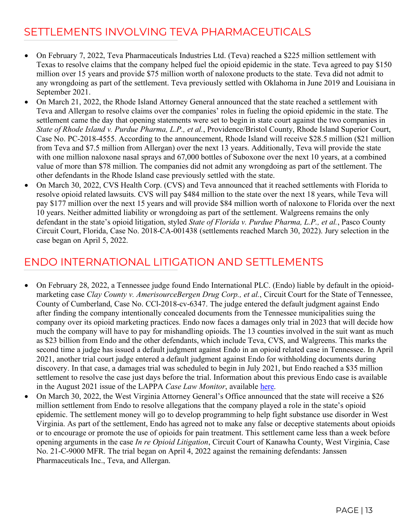#### SETTLEMENTS INVOLVING TEVA PHARMACEUTICALS

- On February 7, 2022, Teva Pharmaceuticals Industries Ltd. (Teva) reached a \$225 million settlement with Texas to resolve claims that the company helped fuel the opioid epidemic in the state. Teva agreed to pay \$150 million over 15 years and provide \$75 million worth of naloxone products to the state. Teva did not admit to any wrongdoing as part of the settlement. Teva previously settled with Oklahoma in June 2019 and Louisiana in September 2021.
- On March 21, 2022, the Rhode Island Attorney General announced that the state reached a settlement with Teva and Allergan to resolve claims over the companies' roles in fueling the opioid epidemic in the state. The settlement came the day that opening statements were set to begin in state court against the two companies in *State of Rhode Island v. Purdue Pharma, L.P., et al.*, Providence/Bristol County, Rhode Island Superior Court, Case No. PC-2018-4555. According to the announcement, Rhode Island will receive \$28.5 million (\$21 million from Teva and \$7.5 million from Allergan) over the next 13 years. Additionally, Teva will provide the state with one million naloxone nasal sprays and 67,000 bottles of Suboxone over the next 10 years, at a combined value of more than \$78 million. The companies did not admit any wrongdoing as part of the settlement. The other defendants in the Rhode Island case previously settled with the state.
- On March 30, 2022, CVS Health Corp. (CVS) and Teva announced that it reached settlements with Florida to resolve opioid related lawsuits. CVS will pay \$484 million to the state over the next 18 years, while Teva will pay \$177 million over the next 15 years and will provide \$84 million worth of naloxone to Florida over the next 10 years. Neither admitted liability or wrongdoing as part of the settlement. Walgreens remains the only defendant in the state's opioid litigation, styled *State of Florida v. Purdue Pharma, L.P., et al.*, Pasco County Circuit Court, Florida, Case No. 2018-CA-001438 (settlements reached March 30, 2022). Jury selection in the case began on April 5, 2022.

#### ENDO INTERNATIONAL LITIGATION AND SETTLEMENTS

- On February 28, 2022, a Tennessee judge found Endo International PLC. (Endo) liable by default in the opioidmarketing case *Clay County v. AmerisourceBergen Drug Corp., et al.*, Circuit Court for the State of Tennessee, County of Cumberland, Case No. CCl-2018-cv-6347. The judge entered the default judgment against Endo after finding the company intentionally concealed documents from the Tennessee municipalities suing the company over its opioid marketing practices. Endo now faces a damages only trial in 2023 that will decide how much the company will have to pay for mishandling opioids. The 13 counties involved in the suit want as much as \$23 billion from Endo and the other defendants, which include Teva, CVS, and Walgreens. This marks the second time a judge has issued a default judgment against Endo in an opioid related case in Tennessee. In April 2021, another trial court judge entered a default judgment against Endo for withholding documents during discovery. In that case, a damages trial was scheduled to begin in July 2021, but Endo reached a \$35 million settlement to resolve the case just days before the trial. Information about this previous Endo case is available in the August 2021 issue of the LAPPA *Case Law Monitor*, available [here.](http://legislativeanalysis.org/wp-content/uploads/2021/08/August-2021-Case-Law-Monitor-FINAL.pdf)
- On March 30, 2022, the West Virginia Attorney General's Office announced that the state will receive a \$26 million settlement from Endo to resolve allegations that the company played a role in the state's opioid epidemic. The settlement money will go to develop programming to help fight substance use disorder in West Virginia. As part of the settlement, Endo has agreed not to make any false or deceptive statements about opioids or to encourage or promote the use of opioids for pain treatment. This settlement came less than a week before opening arguments in the case *In re Opioid Litigation*, Circuit Court of Kanawha County, West Virginia, Case No. 21-C-9000 MFR. The trial began on April 4, 2022 against the remaining defendants: Janssen Pharmaceuticals Inc., Teva, and Allergan.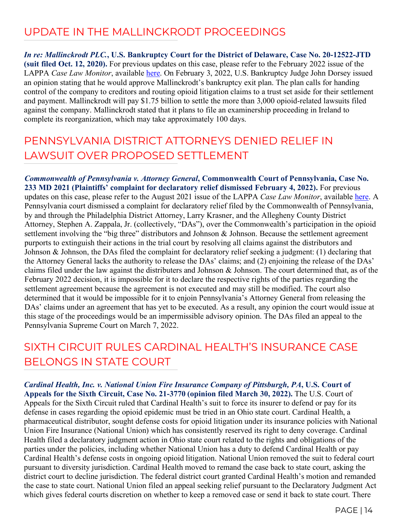#### UPDATE IN THE MALLINCKRODT PROCEEDINGS

*In re: Mallinckrodt PLC.***, U.S. Bankruptcy Court for the District of Delaware, Case No. 20-12522-JTD (suit filed Oct. 12, 2020).** For previous updates on this case, please refer to the February 2022 issue of the LAPPA *Case Law Monitor*, available [here.](http://legislativeanalysis.org/wp-content/uploads/2022/02/February-2022-CLM-FINAL.pdf) On February 3, 2022, U.S. Bankruptcy Judge John Dorsey issued an opinion stating that he would approve Mallinckrodt's bankruptcy exit plan. The plan calls for handing control of the company to creditors and routing opioid litigation claims to a trust set aside for their settlement and payment. Mallinckrodt will pay \$1.75 billion to settle the more than 3,000 opioid-related lawsuits filed against the company. Mallinckrodt stated that it plans to file an examinership proceeding in Ireland to complete its reorganization, which may take approximately 100 days.

#### PENNSYLVANIA DISTRICT ATTORNEYS DENIED RELIEF IN LAWSUIT OVER PROPOSED SETTLEMENT

*Commonwealth of Pennsylvania v. Attorney General***, Commonwealth Court of Pennsylvania, Case No. 233 MD 2021 (Plaintiffs' complaint for declaratory relief dismissed February 4, 2022).** For previous updates on this case, please refer to the August 2021 issue of the LAPPA *Case Law Monitor*, available [here.](http://legislativeanalysis.org/wp-content/uploads/2021/08/August-2021-Case-Law-Monitor-FINAL.pdf) A Pennsylvania court dismissed a complaint for declaratory relief filed by the Commonwealth of Pennsylvania, by and through the Philadelphia District Attorney, Larry Krasner, and the Allegheny County District Attorney, Stephen A. Zappala, Jr. (collectively, "DAs"), over the Commonwealth's participation in the opioid settlement involving the "big three" distributors and Johnson & Johnson. Because the settlement agreement purports to extinguish their actions in the trial court by resolving all claims against the distributors and Johnson & Johnson, the DAs filed the complaint for declaratory relief seeking a judgment: (1) declaring that the Attorney General lacks the authority to release the DAs' claims; and (2) enjoining the release of the DAs' claims filed under the law against the distributers and Johnson & Johnson. The court determined that, as of the February 2022 decision, it is impossible for it to declare the respective rights of the parties regarding the settlement agreement because the agreement is not executed and may still be modified. The court also determined that it would be impossible for it to enjoin Pennsylvania's Attorney General from releasing the DAs' claims under an agreement that has yet to be executed. As a result, any opinion the court would issue at this stage of the proceedings would be an impermissible advisory opinion. The DAs filed an appeal to the Pennsylvania Supreme Court on March 7, 2022.

## SIXTH CIRCUIT RULES CARDINAL HEALTH'S INSURANCE CASE BELONGS IN STATE COURT

*Cardinal Health, Inc. v. National Union Fire Insurance Company of Pittsburgh, PA***, U.S. Court of Appeals for the Sixth Circuit, Case No. 21-3770 (opinion filed March 30, 2022).** The U.S. Court of Appeals for the Sixth Circuit ruled that Cardinal Health's suit to force its insurer to defend or pay for its defense in cases regarding the opioid epidemic must be tried in an Ohio state court. Cardinal Health, a pharmaceutical distributor, sought defense costs for opioid litigation under its insurance policies with National Union Fire Insurance (National Union) which has consistently reserved its right to deny coverage. Cardinal Health filed a declaratory judgment action in Ohio state court related to the rights and obligations of the parties under the policies, including whether National Union has a duty to defend Cardinal Health or pay Cardinal Health's defense costs in ongoing opioid litigation. National Union removed the suit to federal court pursuant to diversity jurisdiction. Cardinal Health moved to remand the case back to state court, asking the district court to decline jurisdiction. The federal district court granted Cardinal Health's motion and remanded the case to state court. National Union filed an appeal seeking relief pursuant to the Declaratory Judgment Act which gives federal courts discretion on whether to keep a removed case or send it back to state court. There